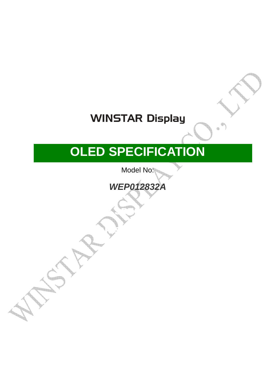# **WINSTAR Display**

# **OLED SPECIFICATION**

Model No:

**WEP012832A** 

■APPROVAL FOR SPECIFICATIONS ONLY

□APPROVAL FOR SPECIFICATIONS AND

SAMPLE ( )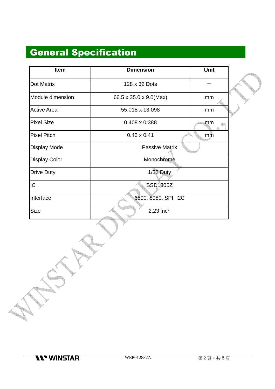## General Specification

| <b>Item</b>          | <b>Dimension</b>       | Unit |  |
|----------------------|------------------------|------|--|
| Dot Matrix           | 128 x 32 Dots          |      |  |
| Module dimension     | 66.5 x 35.0 x 9.0(Max) | mm   |  |
| <b>Active Area</b>   | 55.018 x 13.098        | mm   |  |
| <b>Pixel Size</b>    | $0.408 \times 0.388$   | mm   |  |
| <b>Pixel Pitch</b>   | $0.43 \times 0.41$     | mm   |  |
| <b>Display Mode</b>  | <b>Passive Matrix</b>  |      |  |
| <b>Display Color</b> | Monochrome             |      |  |
| <b>Drive Duty</b>    | $1/32$ Duty            |      |  |
| IC                   | SSD1305Z               |      |  |
| Interface            | 6800, 8080, SPI, I2C   |      |  |
| <b>Size</b>          | 2.23 inch              |      |  |

**Term**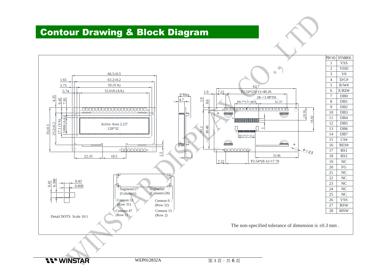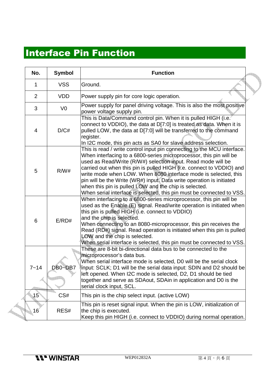#### Interface Pin Function

| No.            | <b>Symbol</b>  | <b>Function</b>                                                                                                                                                                                                                                                                                                                                                                                                                                                                                                                                                    |
|----------------|----------------|--------------------------------------------------------------------------------------------------------------------------------------------------------------------------------------------------------------------------------------------------------------------------------------------------------------------------------------------------------------------------------------------------------------------------------------------------------------------------------------------------------------------------------------------------------------------|
| 1              | <b>VSS</b>     | Ground.                                                                                                                                                                                                                                                                                                                                                                                                                                                                                                                                                            |
| 2              | <b>VDD</b>     | Power supply pin for core logic operation.                                                                                                                                                                                                                                                                                                                                                                                                                                                                                                                         |
| 3              | V <sub>0</sub> | Power supply for panel driving voltage. This is also the most positive<br>power voltage supply pin.                                                                                                                                                                                                                                                                                                                                                                                                                                                                |
| $\overline{4}$ | D/C#           | This is Data/Command control pin. When it is pulled HIGH (i.e.<br>connect to VDDIO), the data at D[7:0] is treated as data. When it is<br>pulled LOW, the data at D[7:0] will be transferred to the command<br>register.<br>In I2C mode, this pin acts as SA0 for slave address selection.                                                                                                                                                                                                                                                                         |
| 5              | R/W#           | This is read / write control input pin connecting to the MCU interface.<br>When interfacing to a 6800-series microprocessor, this pin will be<br>used as Read/Write (R/W#) selection input. Read mode will be<br>carried out when this pin is pulled HIGH (i.e. connect to VDDIO) and<br>write mode when LOW. When 8080 interface mode is selected, this<br>pin will be the Write (WR#) input. Data write operation is initiated<br>when this pin is pulled LOW and the chip is selected.<br>When serial interface is selected, this pin must be connected to VSS. |
| 6              | E/RD#          | When interfacing to a 6800-series microprocessor, this pin will be<br>used as the Enable (E) signal. Read/write operation is initiated when<br>this pin is pulled HIGH (i.e. connect to VDDIO)<br>and the chip is selected.<br>When connecting to an 8080-microprocessor, this pin receives the<br>Read (RD#) signal. Read operation is initiated when this pin is pulled<br>LOW and the chip is selected.<br>When serial interface is selected, this pin must be connected to VSS.                                                                                |
| $7 - 14$       | DB0~DB7        | These are 8-bit bi-directional data bus to be connected to the<br>microprocessor's data bus.<br>When serial interface mode is selected, D0 will be the serial clock<br>input: SCLK; D1 will be the serial data input: SDIN and D2 should be<br>left opened. When I2C mode is selected, D2, D1 should be tied<br>together and serve as SDAout, SDAin in application and D0 is the<br>serial clock input, SCL.                                                                                                                                                       |
| $15^{\degree}$ | CS#            | This pin is the chip select input. (active LOW)                                                                                                                                                                                                                                                                                                                                                                                                                                                                                                                    |
| $16^\circ$     | RES#           | This pin is reset signal input. When the pin is LOW, initialization of<br>the chip is executed.<br>Keep this pin HIGH (i.e. connect to VDDIO) during normal operation.                                                                                                                                                                                                                                                                                                                                                                                             |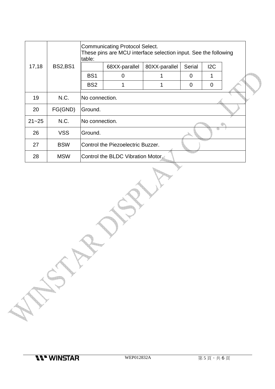|           |                | <b>Communicating Protocol Select.</b><br>These pins are MCU interface selection input. See the following<br>table: |                |               |                |                |  |  |
|-----------|----------------|--------------------------------------------------------------------------------------------------------------------|----------------|---------------|----------------|----------------|--|--|
| 17,18     | <b>BS2,BS1</b> |                                                                                                                    | 68XX-parallel  | 80XX-parallel | Serial         | 12C            |  |  |
|           |                | BS <sub>1</sub>                                                                                                    | 0              |               | 0              |                |  |  |
|           |                | BS <sub>2</sub>                                                                                                    |                |               | $\overline{0}$ | $\overline{0}$ |  |  |
| 19        | N.C.           |                                                                                                                    | No connection. |               |                |                |  |  |
| 20        | FG(GND)        | Ground.                                                                                                            |                |               |                |                |  |  |
| $21 - 25$ | N.C.           | No connection.                                                                                                     |                |               |                |                |  |  |
| 26        | <b>VSS</b>     | Ground.                                                                                                            |                |               |                |                |  |  |
| 27        | <b>BSW</b>     | Control the Piezoelectric Buzzer.                                                                                  |                |               |                |                |  |  |
| 28        | <b>MSW</b>     | Control the BLDC Vibration Motor.                                                                                  |                |               |                |                |  |  |

<u>e de la p</u>